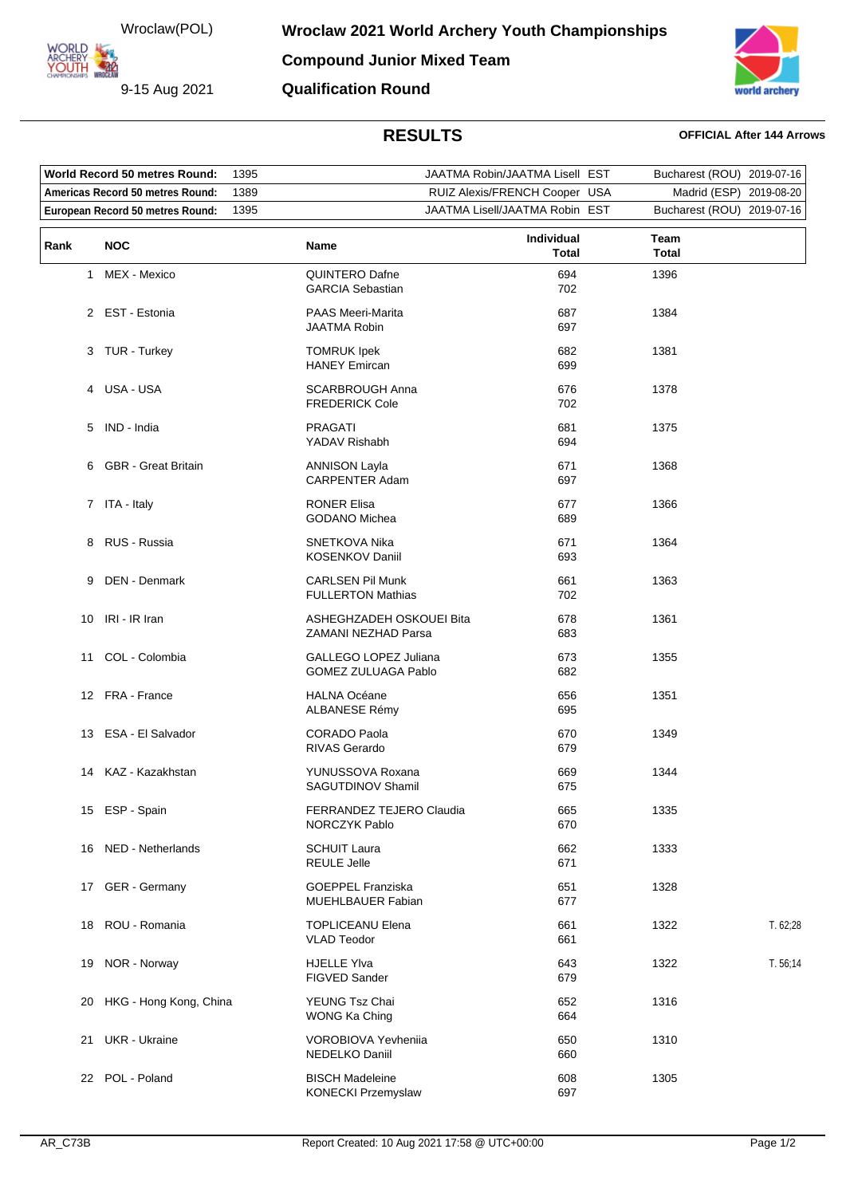Wroclaw(POL)

**ORLD ARCHERY<br>YOUTH 422** 

9-15 Aug 2021



**Qualification Round**

## **RESULTS OFFICIAL After 144 Arrows**

| <b>World Record 50 metres Round:</b> |                            | 1395 |                                                     | JAATMA Robin/JAATMA Lisell EST | Bucharest (ROU) 2019-07-16 |            |
|--------------------------------------|----------------------------|------|-----------------------------------------------------|--------------------------------|----------------------------|------------|
| Americas Record 50 metres Round:     |                            | 1389 | RUIZ Alexis/FRENCH Cooper USA                       |                                | Madrid (ESP)               | 2019-08-20 |
| European Record 50 metres Round:     |                            | 1395 | JAATMA Lisell/JAATMA Robin EST                      |                                | Bucharest (ROU) 2019-07-16 |            |
| Rank                                 | <b>NOC</b>                 |      | Name                                                | Individual<br>Total            | Team<br><b>Total</b>       |            |
| 1.                                   | MEX - Mexico               |      | QUINTERO Dafne<br><b>GARCIA Sebastian</b>           | 694<br>702                     | 1396                       |            |
|                                      | 2 EST - Estonia            |      | <b>PAAS Meeri-Marita</b><br><b>JAATMA Robin</b>     | 687<br>697                     | 1384                       |            |
|                                      | 3 TUR - Turkey             |      | <b>TOMRUK Ipek</b><br><b>HANEY Emircan</b>          | 682<br>699                     | 1381                       |            |
| 4                                    | USA - USA                  |      | <b>SCARBROUGH Anna</b><br><b>FREDERICK Cole</b>     | 676<br>702                     | 1378                       |            |
| 5                                    | IND - India                |      | <b>PRAGATI</b><br>YADAV Rishabh                     | 681<br>694                     | 1375                       |            |
| 6                                    | <b>GBR</b> - Great Britain |      | <b>ANNISON Layla</b><br><b>CARPENTER Adam</b>       | 671<br>697                     | 1368                       |            |
|                                      | 7 ITA - Italy              |      | <b>RONER Elisa</b><br><b>GODANO Michea</b>          | 677<br>689                     | 1366                       |            |
| 8                                    | RUS - Russia               |      | SNETKOVA Nika<br><b>KOSENKOV Daniil</b>             | 671<br>693                     | 1364                       |            |
| 9                                    | DEN - Denmark              |      | <b>CARLSEN Pil Munk</b><br><b>FULLERTON Mathias</b> | 661<br>702                     | 1363                       |            |
|                                      | 10 IRI - IR Iran           |      | ASHEGHZADEH OSKOUEI Bita<br>ZAMANI NEZHAD Parsa     | 678<br>683                     | 1361                       |            |
| 11                                   | COL - Colombia             |      | GALLEGO LOPEZ Juliana<br><b>GOMEZ ZULUAGA Pablo</b> | 673<br>682                     | 1355                       |            |
|                                      | 12 FRA - France            |      | <b>HALNA Océane</b><br>ALBANESE Rémy                | 656<br>695                     | 1351                       |            |
| 13.                                  | ESA - El Salvador          |      | <b>CORADO Paola</b><br><b>RIVAS Gerardo</b>         | 670<br>679                     | 1349                       |            |
| 14                                   | KAZ - Kazakhstan           |      | YUNUSSOVA Roxana<br>SAGUTDINOV Shamil               | 669<br>675                     | 1344                       |            |
|                                      | 15 ESP - Spain             |      | FERRANDEZ TEJERO Claudia<br>NORCZYK Pablo           | 665<br>670                     | 1335                       |            |
|                                      | 16 NED - Netherlands       |      | <b>SCHUIT Laura</b><br><b>REULE Jelle</b>           | 662<br>671                     | 1333                       |            |
| 17                                   | GER - Germany              |      | <b>GOEPPEL Franziska</b><br>MUEHLBAUER Fabian       | 651<br>677                     | 1328                       |            |
|                                      | 18 ROU - Romania           |      | <b>TOPLICEANU Elena</b><br><b>VLAD Teodor</b>       | 661<br>661                     | 1322                       | T. 62;28   |
| 19                                   | NOR - Norway               |      | <b>HJELLE YIva</b><br>FIGVED Sander                 | 643<br>679                     | 1322                       | T. 56:14   |
|                                      | 20 HKG - Hong Kong, China  |      | YEUNG Tsz Chai<br>WONG Ka Ching                     | 652<br>664                     | 1316                       |            |
| 21                                   | <b>UKR</b> - Ukraine       |      | <b>VOROBIOVA Yevhenija</b><br>NEDELKO Daniil        | 650<br>660                     | 1310                       |            |
|                                      | 22 POL - Poland            |      | <b>BISCH Madeleine</b><br>KONECKI Przemyslaw        | 608<br>697                     | 1305                       |            |